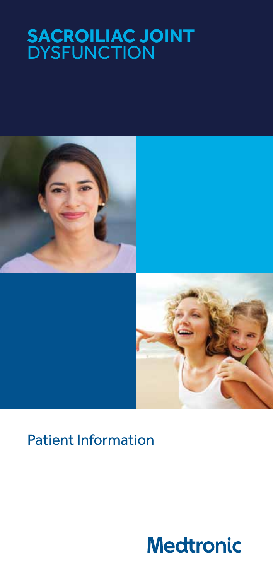# **SACROILIAC JOINT DYSFUNCTION**



# Patient Information

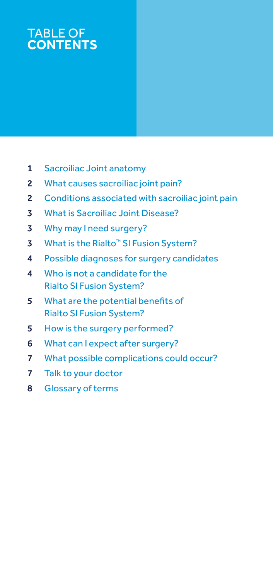## TABLE OF **CONTENTS**

- Sacroiliac Joint anatomy
- What causes sacroiliac joint pain?
- Conditions associated with sacroiliac joint pain
- What is Sacroiliac Joint Disease?
- Why may I need surgery?
- 3 What is the Rialto<sup>™</sup> SI Fusion System?
- Possible diagnoses for surgery candidates
- Who is not a candidate for the Rialto SI Fusion System?
- What are the potential benefits of Rialto SI Fusion System?
- How is the surgery performed?
- What can I expect after surgery?
- What possible complications could occur?
- Talk to your doctor
- Glossary of terms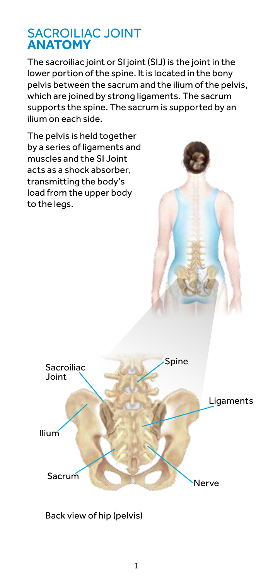#### SACROILIAC JOINT **ANATOMY**

The sacroiliac joint or SI joint (SIJ) is the joint in the lower portion of the spine. It is located in the bony pelvis between the sacrum and the ilium of the pelvis, which are joined by strong ligaments. The sacrum supports the spine. The sacrum is supported by an ilium on each side.

The pelvis is held together by a series of ligaments and muscles and the SI Joint acts as a shock absorber, transmitting the body's load from the upper body to the legs.



Back view of hip (pelvis)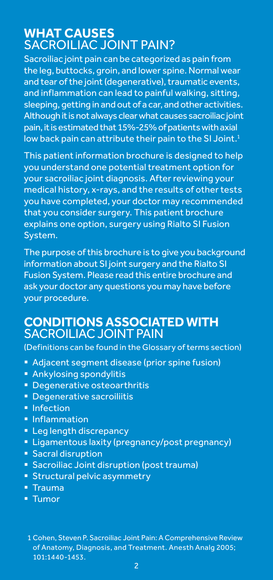#### **WHAT CAUSES**  SACROILIAC JOINT PAIN?

Sacroiliac joint pain can be categorized as pain from the leg, buttocks, groin, and lower spine. Normal wear and tear of the joint (degenerative), traumatic events, and inflammation can lead to painful walking, sitting, sleeping, getting in and out of a car, and other activities. Although it is not always clear what causes sacroiliac joint pain, it is estimated that 15%-25% of patients with axial low back pain can attribute their pain to the SI Joint.<sup>1</sup>

This patient information brochure is designed to help you understand one potential treatment option for your sacroiliac joint diagnosis. After reviewing your medical history, x-rays, and the results of other tests you have completed, your doctor may recommended that you consider surgery. This patient brochure explains one option, surgery using Rialto SI Fusion System.

The purpose of this brochure is to give you background information about SI joint surgery and the Rialto SI Fusion System. Please read this entire brochure and ask your doctor any questions you may have before your procedure.

#### **CONDITIONS ASSOCIATED WITH**  SACROILIAC JOINT PAIN

(Definitions can be found in the Glossary of terms section)

- Adjacent segment disease (prior spine fusion)
- **Ankylosing spondylitis**
- **Degenerative osteoarthritis**
- **Degenerative sacroiliitis**
- **Infection**
- **Inflammation**
- **Leg length discrepancy**
- **EXTENDING** Ligamentous laxity (pregnancy/post pregnancy)
- **Sacral disruption**
- **Sacroiliac Joint disruption (post trauma)**
- **Structural pelvic asymmetry**
- $\overline{\phantom{a}}$  Trauma
- Tumor

<sup>1</sup> Cohen, Steven P. Sacroiliac Joint Pain: A Comprehensive Review of Anatomy, Diagnosis, and Treatment. Anesth Analg 2005; 101:1440-1453.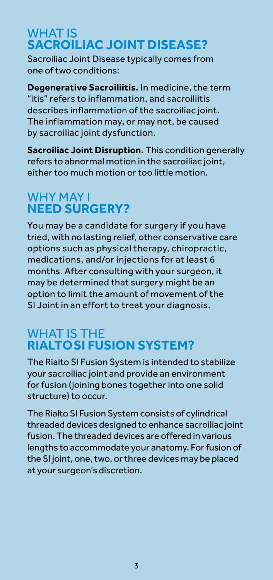#### WHAT IS **SACROILIAC JOINT DISEASE?**

Sacroiliac Joint Disease typically comes from one of two conditions:

**Degenerative Sacroiliitis.** In medicine, the term "itis" refers to inflammation, and sacroiliitis describes inflammation of the sacroiliac joint. The inflammation may, or may not, be caused by sacroiliac joint dysfunction.

**Sacroiliac Joint Disruption.** This condition generally refers to abnormal motion in the sacroiliac joint, either too much motion or too little motion.

## WHY MAY I **NEED SURGERY?**

You may be a candidate for surgery if you have tried, with no lasting relief, other conservative care options such as physical therapy, chiropractic, medications, and/or injections for at least 6 months. After consulting with your surgeon, it may be determined that surgery might be an option to limit the amount of movement of the SI Joint in an effort to treat your diagnosis.

#### WHAT IS THE **RIALTO SI FUSION SYSTEM?**

The Rialto SI Fusion System is intended to stabilize your sacroiliac joint and provide an environment for fusion (joining bones together into one solid structure) to occur.

The Rialto SI Fusion System consists of cylindrical threaded devices designed to enhance sacroiliac joint fusion. The threaded devices are offered in various lengths to accommodate your anatomy. For fusion of the SI joint, one, two, or three devices may be placed at your surgeon's discretion.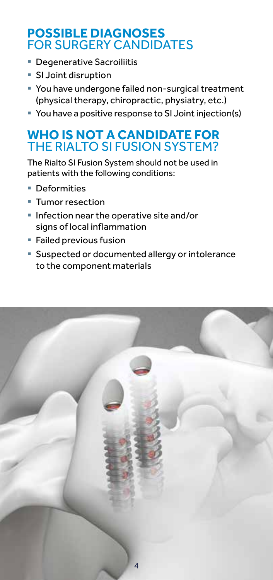#### **POSSIBLE DIAGNOSES**  FOR SURGERY CANDIDATES

- **Degenerative Sacroiliitis**
- **SI Joint disruption**
- You have undergone failed non-surgical treatment (physical therapy, chiropractic, physiatry, etc.)
- You have a positive response to SI Joint injection(s)

#### **WHO IS NOT A CANDIDATE FOR**  THE RIALTO SI FUSION SYSTEM?

The Rialto SI Fusion System should not be used in patients with the following conditions:

- **Deformities**
- **Tumor resection**
- **Infection near the operative site and/or** signs of local inflammation
- **Failed previous fusion**
- **Suspected or documented allergy or intolerance** to the component materials

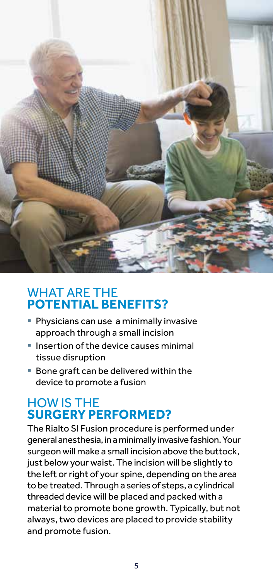

#### WHAT ARE THE **POTENTIAL BENEFITS?**

- **Physicians can use a minimally invasive** approach through a small incision
- **Insertion of the device causes minimal** tissue disruption
- Bone graft can be delivered within the device to promote a fusion

#### HOW IS THE **SURGERY PERFORMED?**

The Rialto SI Fusion procedure is performed under general anesthesia, in a minimally invasive fashion. Your surgeon will make a small incision above the buttock, just below your waist. The incision will be slightly to the left or right of your spine, depending on the area to be treated. Through a series of steps, a cylindrical threaded device will be placed and packed with a material to promote bone growth. Typically, but not always, two devices are placed to provide stability and promote fusion.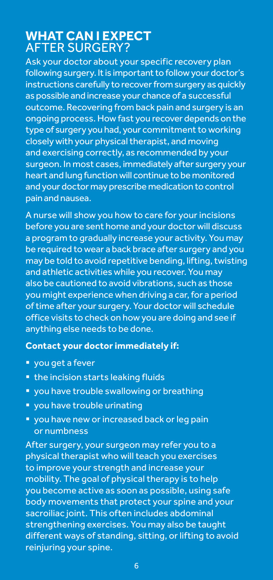#### **WHAT CAN I EXPECT**  AFTER SURGERY?

Ask your doctor about your specific recovery plan following surgery. It is important to follow your doctor's instructions carefully to recover from surgery as quickly as possible and increase your chance of a successful outcome. Recovering from back pain and surgery is an ongoing process. How fast you recover depends on the type of surgery you had, your commitment to working closely with your physical therapist, and moving and exercising correctly, as recommended by your surgeon. In most cases, immediately after surgery your heart and lung function will continue to be monitored and your doctor may prescribe medication to control pain and nausea.

A nurse will show you how to care for your incisions before you are sent home and your doctor will discuss a program to gradually increase your activity. You may be required to wear a back brace after surgery and you may be told to avoid repetitive bending, lifting, twisting and athletic activities while you recover. You may also be cautioned to avoid vibrations, such as those you might experience when driving a car, for a period of time after your surgery. Your doctor will schedule office visits to check on how you are doing and see if anything else needs to be done.

#### **Contact your doctor immediately if:**

- vou get a fever
- **the incision starts leaking fluids**
- **you have trouble swallowing or breathing**
- **v** you have trouble urinating
- vou have new or increased back or leg pain or numbness

After surgery, your surgeon may refer you to a physical therapist who will teach you exercises to improve your strength and increase your mobility. The goal of physical therapy is to help you become active as soon as possible, using safe body movements that protect your spine and your sacroiliac joint. This often includes abdominal strengthening exercises. You may also be taught different ways of standing, sitting, or lifting to avoid reinjuring your spine.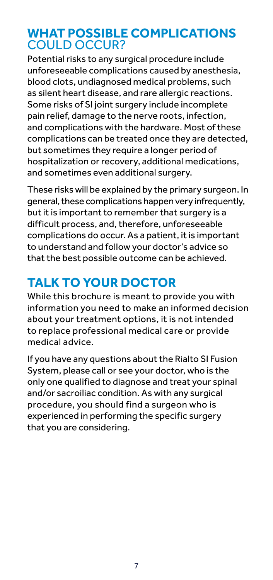#### **WHAT POSSIBLE COMPLICATIONS**  COULD OCCUR?

Potential risks to any surgical procedure include unforeseeable complications caused by anesthesia, blood clots, undiagnosed medical problems, such as silent heart disease, and rare allergic reactions. Some risks of SI joint surgery include incomplete pain relief, damage to the nerve roots, infection, and complications with the hardware. Most of these complications can be treated once they are detected, but sometimes they require a longer period of hospitalization or recovery, additional medications, and sometimes even additional surgery.

These risks will be explained by the primary surgeon. In general, these complications happen very infrequently, but it is important to remember that surgery is a difficult process, and, therefore, unforeseeable complications do occur. As a patient, it is important to understand and follow your doctor's advice so that the best possible outcome can be achieved.

## **TALK TO YOUR DOCTOR**

While this brochure is meant to provide you with information you need to make an informed decision about your treatment options, it is not intended to replace professional medical care or provide medical advice.

If you have any questions about the Rialto SI Fusion System, please call or see your doctor, who is the only one qualified to diagnose and treat your spinal and/or sacroiliac condition. As with any surgical procedure, you should find a surgeon who is experienced in performing the specific surgery that you are considering.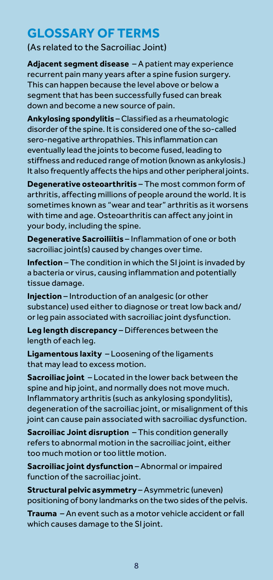## **GLOSSARY OF TERMS**

(As related to the Sacroiliac Joint)

**Adjacent segment disease** – A patient may experience recurrent pain many years after a spine fusion surgery. This can happen because the level above or below a segment that has been successfully fused can break down and become a new source of pain.

**Ankylosing spondylitis** – Classified as a rheumatologic disorder of the spine. It is considered one of the so-called sero-negative arthropathies. This inflammation can eventually lead the joints to become fused, leading to stiffness and reduced range of motion (known as ankylosis.) It also frequently affects the hips and other peripheral joints.

**Degenerative osteoarthritis** – The most common form of arthritis, affecting millions of people around the world. It is sometimes known as "wear and tear" arthritis as it worsens with time and age. Osteoarthritis can affect any joint in your body, including the spine.

**Degenerative Sacroiliitis** – Inflammation of one or both sacroiliac joint(s) caused by changes over time.

**Infection** – The condition in which the SI joint is invaded by a bacteria or virus, causing inflammation and potentially tissue damage.

**Injection** – Introduction of an analgesic (or other substance) used either to diagnose or treat low back and/ or leg pain associated with sacroiliac joint dysfunction.

**Leg length discrepancy** – Differences between the length of each leg.

**Ligamentous laxity** – Loosening of the ligaments that may lead to excess motion.

**Sacroiliac joint** – Located in the lower back between the spine and hip joint, and normally does not move much. Inflammatory arthritis (such as ankylosing spondylitis), degeneration of the sacroiliac joint, or misalignment of this joint can cause pain associated with sacroiliac dysfunction.

**Sacroiliac Joint disruption** – This condition generally refers to abnormal motion in the sacroiliac joint, either too much motion or too little motion.

**Sacroiliac joint dysfunction** – Abnormal or impaired function of the sacroiliac joint.

**Structural pelvic asymmetry** – Asymmetric (uneven) positioning of bony landmarks on the two sides of the pelvis.

**Trauma** – An event such as a motor vehicle accident or fall which causes damage to the SI joint.